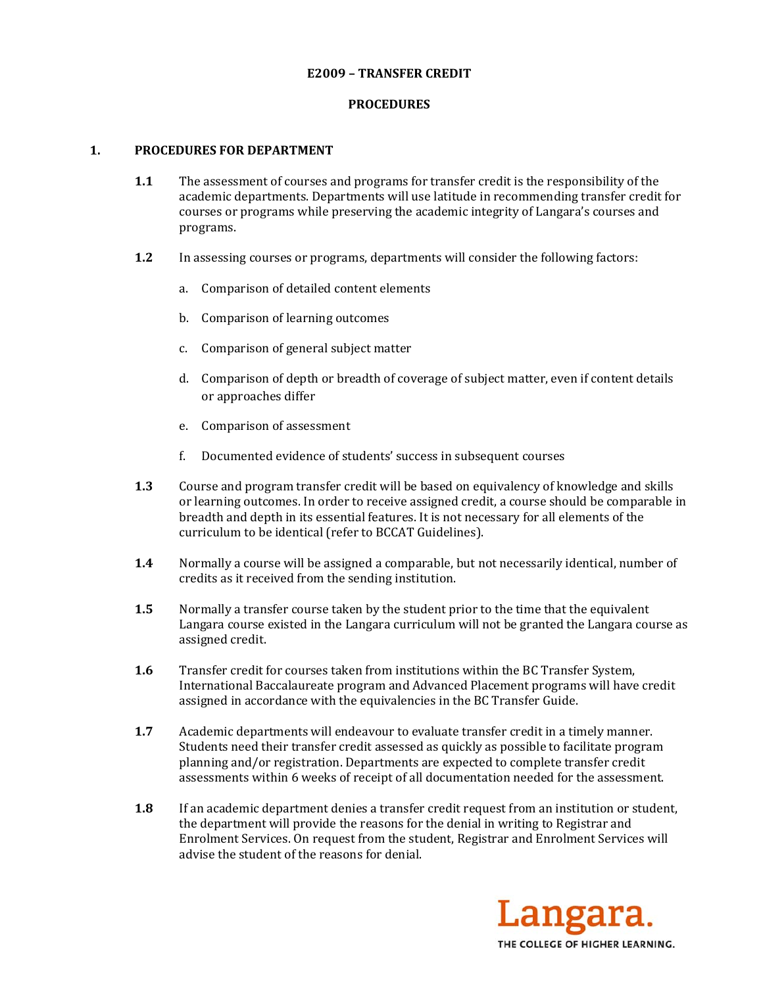### **E2009 – TRANSFER CREDIT**

## **PROCEDURES**

## **1. PROCEDURES FOR DEPARTMENT**

- **1.1** The assessment of courses and programs for transfer credit is the responsibility of the academic departments. Departments will use latitude in recommending transfer credit for courses or programs while preserving the academic integrity of Langara's courses and programs.
- **1.2** In assessing courses or programs, departments will consider the following factors:
	- a. Comparison of detailed content elements
	- b. Comparison of learning outcomes
	- c. Comparison of general subject matter
	- d. Comparison of depth or breadth of coverage of subject matter, even if content details or approaches differ
	- e. Comparison of assessment
	- f. Documented evidence of students' success in subsequent courses
- **1.3** Course and program transfer credit will be based on equivalency of knowledge and skills or learning outcomes. In order to receive assigned credit, a course should be comparable in breadth and depth in its essential features. It is not necessary for all elements of the curriculum to be identical (refer to BCCAT Guidelines).
- **1.4** Normally a course will be assigned a comparable, but not necessarily identical, number of credits as it received from the sending institution.
- **1.5** Normally a transfer course taken by the student prior to the time that the equivalent Langara course existed in the Langara curriculum will not be granted the Langara course as assigned credit.
- **1.6** Transfer credit for courses taken from institutions within the BC Transfer System, International Baccalaureate program and Advanced Placement programs will have credit assigned in accordance with the equivalencies in the BC Transfer Guide.
- **1.7** Academic departments will endeavour to evaluate transfer credit in a timely manner. Students need their transfer credit assessed as quickly as possible to facilitate program planning and/or registration. Departments are expected to complete transfer credit assessments within 6 weeks of receipt of all documentation needed for the assessment.
- **1.8** If an academic department denies a transfer credit request from an institution or student, the department will provide the reasons for the denial in writing to Registrar and Enrolment Services. On request from the student, Registrar and Enrolment Services will advise the student of the reasons for denial.

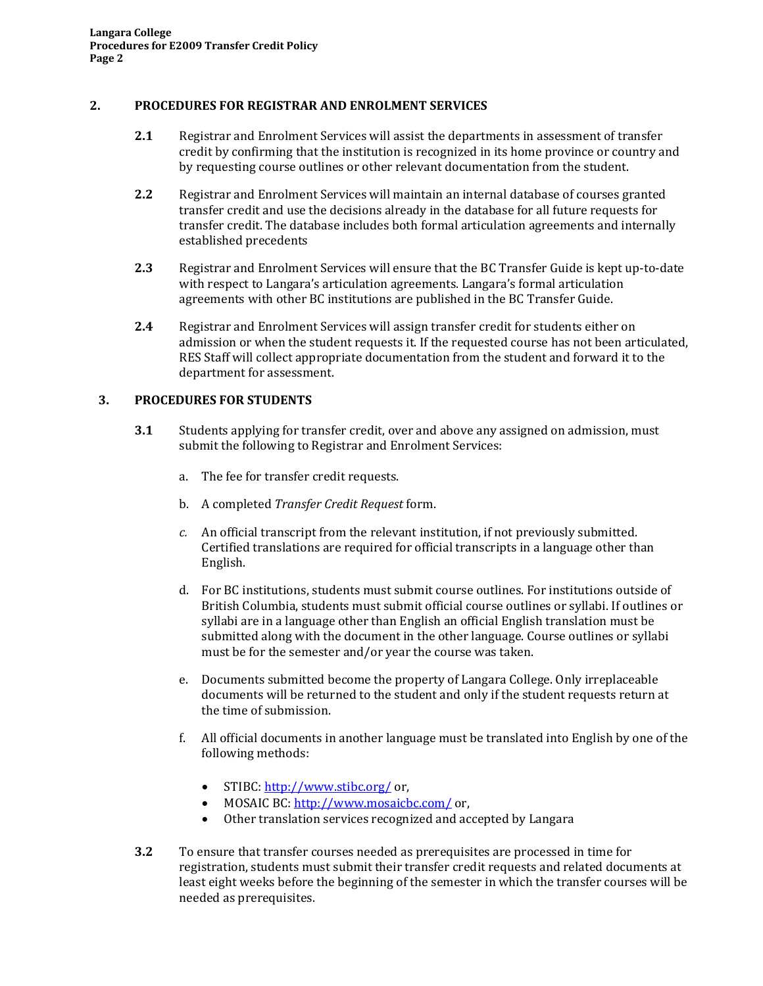## **2. PROCEDURES FOR REGISTRAR AND ENROLMENT SERVICES**

- **2.1** Registrar and Enrolment Services will assist the departments in assessment of transfer credit by confirming that the institution is recognized in its home province or country and by requesting course outlines or other relevant documentation from the student.
- **2.2** Registrar and Enrolment Services will maintain an internal database of courses granted transfer credit and use the decisions already in the database for all future requests for transfer credit. The database includes both formal articulation agreements and internally established precedents
- **2.3** Registrar and Enrolment Services will ensure that the BC Transfer Guide is kept up-to-date with respect to Langara's articulation agreements. Langara's formal articulation agreements with other BC institutions are published in the BC Transfer Guide.
- **2.4** Registrar and Enrolment Services will assign transfer credit for students either on admission or when the student requests it. If the requested course has not been articulated, RES Staff will collect appropriate documentation from the student and forward it to the department for assessment.

# **3. PROCEDURES FOR STUDENTS**

- **3.1** Students applying for transfer credit, over and above any assigned on admission, must submit the following to Registrar and Enrolment Services:
	- a. The fee for transfer credit requests.
	- b. A completed *Transfer Credit Request* form.
	- *c.* An official transcript from the relevant institution, if not previously submitted. Certified translations are required for official transcripts in a language other than English.
	- d. For BC institutions, students must submit course outlines. For institutions outside of British Columbia, students must submit official course outlines or syllabi. If outlines or syllabi are in a language other than English an official English translation must be submitted along with the document in the other language. Course outlines or syllabi must be for the semester and/or year the course was taken.
	- e. Documents submitted become the property of Langara College. Only irreplaceable documents will be returned to the student and only if the student requests return at the time of submission.
	- f. All official documents in another language must be translated into English by one of the following methods:
		- STIBC: http://www.stibc.org/or,
		- MOSAIC BC: http://www.mosaicbc.com/ or,
		- Other translation services recognized and accepted by Langara
- **3.2** To ensure that transfer courses needed as prerequisites are processed in time for registration, students must submit their transfer credit requests and related documents at least eight weeks before the beginning of the semester in which the transfer courses will be needed as prerequisites.